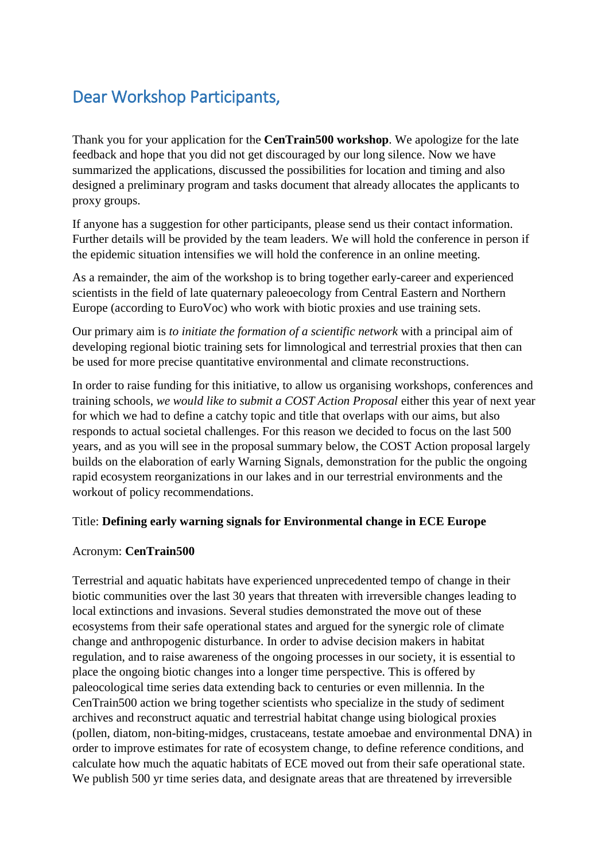# Dear Workshop Participants,

Thank you for your application for the **CenTrain500 workshop**. We apologize for the late feedback and hope that you did not get discouraged by our long silence. Now we have summarized the applications, discussed the possibilities for location and timing and also designed a preliminary program and tasks document that already allocates the applicants to proxy groups.

If anyone has a suggestion for other participants, please send us their contact information. Further details will be provided by the team leaders. We will hold the conference in person if the epidemic situation intensifies we will hold the conference in an online meeting.

As a remainder, the aim of the workshop is to bring together early-career and experienced scientists in the field of late quaternary paleoecology from Central Eastern and Northern Europe (according to EuroVoc) who work with biotic proxies and use training sets.

Our primary aim is *to initiate the formation of a scientific network* with a principal aim of developing regional biotic training sets for limnological and terrestrial proxies that then can be used for more precise quantitative environmental and climate reconstructions.

In order to raise funding for this initiative, to allow us organising workshops, conferences and training schools, *we would like to submit a COST Action Proposal* either this year of next year for which we had to define a catchy topic and title that overlaps with our aims, but also responds to actual societal challenges. For this reason we decided to focus on the last 500 years, and as you will see in the proposal summary below, the COST Action proposal largely builds on the elaboration of early Warning Signals, demonstration for the public the ongoing rapid ecosystem reorganizations in our lakes and in our terrestrial environments and the workout of policy recommendations.

# Title: **Defining early warning signals for Environmental change in ECE Europe**

#### Acronym: **CenTrain500**

Terrestrial and aquatic habitats have experienced unprecedented tempo of change in their biotic communities over the last 30 years that threaten with irreversible changes leading to local extinctions and invasions. Several studies demonstrated the move out of these ecosystems from their safe operational states and argued for the synergic role of climate change and anthropogenic disturbance. In order to advise decision makers in habitat regulation, and to raise awareness of the ongoing processes in our society, it is essential to place the ongoing biotic changes into a longer time perspective. This is offered by paleocological time series data extending back to centuries or even millennia. In the CenTrain500 action we bring together scientists who specialize in the study of sediment archives and reconstruct aquatic and terrestrial habitat change using biological proxies (pollen, diatom, non-biting-midges, crustaceans, testate amoebae and environmental DNA) in order to improve estimates for rate of ecosystem change, to define reference conditions, and calculate how much the aquatic habitats of ECE moved out from their safe operational state. We publish 500 yr time series data, and designate areas that are threatened by irreversible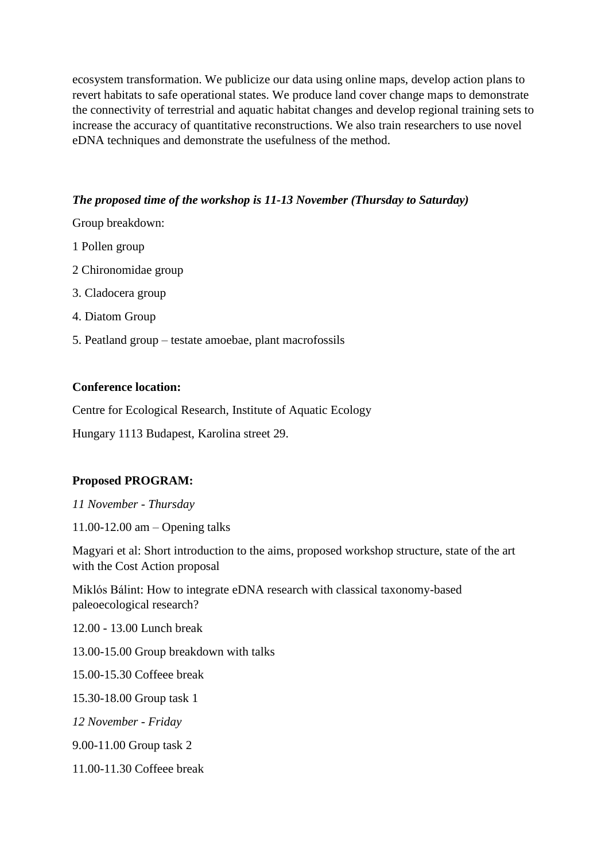ecosystem transformation. We publicize our data using online maps, develop action plans to revert habitats to safe operational states. We produce land cover change maps to demonstrate the connectivity of terrestrial and aquatic habitat changes and develop regional training sets to increase the accuracy of quantitative reconstructions. We also train researchers to use novel eDNA techniques and demonstrate the usefulness of the method.

## *The proposed time of the workshop is 11-13 November (Thursday to Saturday)*

Group breakdown:

- 1 Pollen group
- 2 Chironomidae group
- 3. Cladocera group
- 4. Diatom Group
- 5. Peatland group testate amoebae, plant macrofossils

#### **Conference location:**

Centre for Ecological Research, Institute of Aquatic Ecology

Hungary 1113 Budapest, Karolina street 29.

# **Proposed PROGRAM:**

*11 November - Thursday*

11.00-12.00 am – Opening talks

Magyari et al: Short introduction to the aims, proposed workshop structure, state of the art with the Cost Action proposal

Miklós Bálint: How to integrate eDNA research with classical taxonomy-based paleoecological research?

12.00 - 13.00 Lunch break

13.00-15.00 Group breakdown with talks

15.00-15.30 Coffeee break

15.30-18.00 Group task 1

*12 November - Friday*

9.00-11.00 Group task 2

11.00-11.30 Coffeee break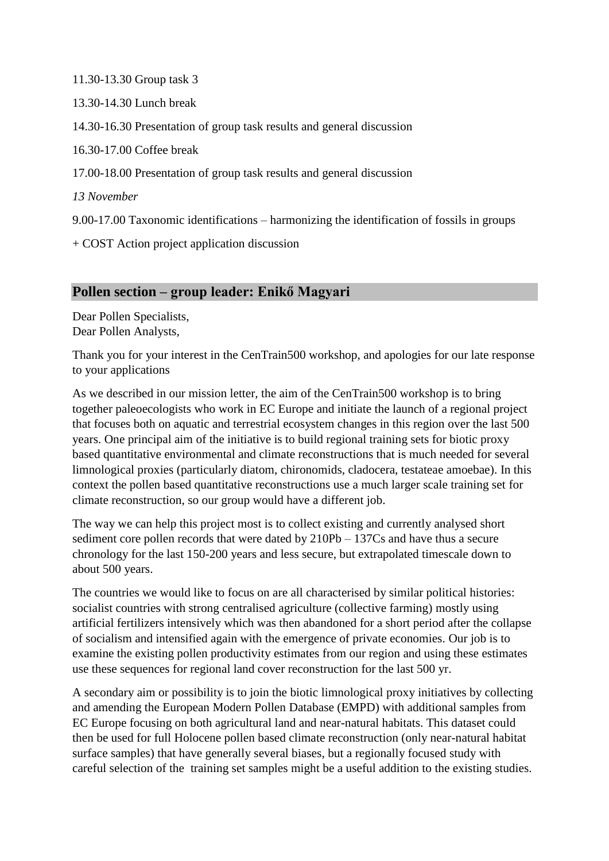11.30-13.30 Group task 3 13.30-14.30 Lunch break 14.30-16.30 Presentation of group task results and general discussion 16.30-17.00 Coffee break 17.00-18.00 Presentation of group task results and general discussion *13 November* 9.00-17.00 Taxonomic identifications – harmonizing the identification of fossils in groups

+ COST Action project application discussion

# **Pollen section – group leader: Enikő Magyari**

Dear Pollen Specialists, Dear Pollen Analysts,

Thank you for your interest in the CenTrain500 workshop, and apologies for our late response to your applications

As we described in our mission letter, the aim of the CenTrain500 workshop is to bring together paleoecologists who work in EC Europe and initiate the launch of a regional project that focuses both on aquatic and terrestrial ecosystem changes in this region over the last 500 years. One principal aim of the initiative is to build regional training sets for biotic proxy based quantitative environmental and climate reconstructions that is much needed for several limnological proxies (particularly diatom, chironomids, cladocera, testateae amoebae). In this context the pollen based quantitative reconstructions use a much larger scale training set for climate reconstruction, so our group would have a different job.

The way we can help this project most is to collect existing and currently analysed short sediment core pollen records that were dated by 210Pb – 137Cs and have thus a secure chronology for the last 150-200 years and less secure, but extrapolated timescale down to about 500 years.

The countries we would like to focus on are all characterised by similar political histories: socialist countries with strong centralised agriculture (collective farming) mostly using artificial fertilizers intensively which was then abandoned for a short period after the collapse of socialism and intensified again with the emergence of private economies. Our job is to examine the existing pollen productivity estimates from our region and using these estimates use these sequences for regional land cover reconstruction for the last 500 yr.

A secondary aim or possibility is to join the biotic limnological proxy initiatives by collecting and amending the European Modern Pollen Database (EMPD) with additional samples from EC Europe focusing on both agricultural land and near-natural habitats. This dataset could then be used for full Holocene pollen based climate reconstruction (only near-natural habitat surface samples) that have generally several biases, but a regionally focused study with careful selection of the training set samples might be a useful addition to the existing studies.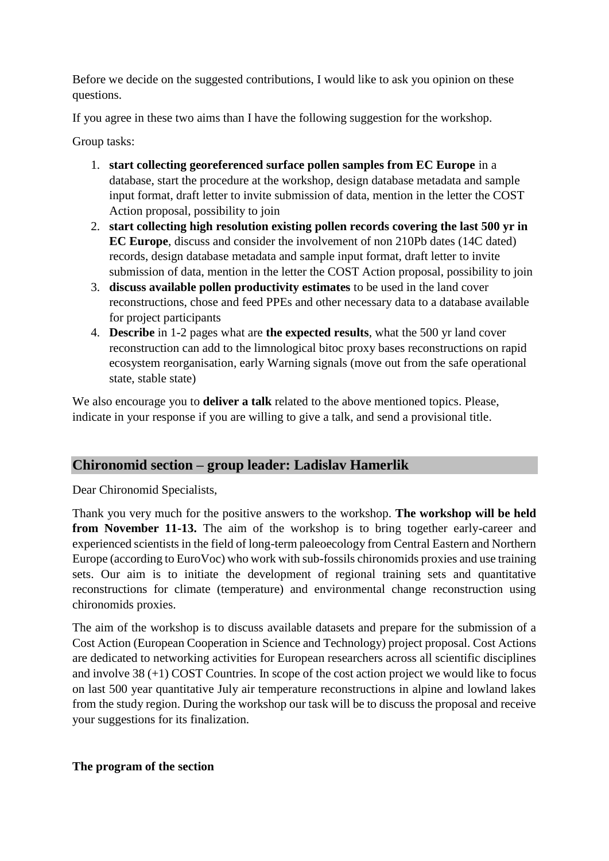Before we decide on the suggested contributions, I would like to ask you opinion on these questions.

If you agree in these two aims than I have the following suggestion for the workshop.

Group tasks:

- 1. **start collecting georeferenced surface pollen samples from EC Europe** in a database, start the procedure at the workshop, design database metadata and sample input format, draft letter to invite submission of data, mention in the letter the COST Action proposal, possibility to join
- 2. **start collecting high resolution existing pollen records covering the last 500 yr in EC Europe**, discuss and consider the involvement of non 210Pb dates (14C dated) records, design database metadata and sample input format, draft letter to invite submission of data, mention in the letter the COST Action proposal, possibility to join
- 3. **discuss available pollen productivity estimates** to be used in the land cover reconstructions, chose and feed PPEs and other necessary data to a database available for project participants
- 4. **Describe** in 1-2 pages what are **the expected results**, what the 500 yr land cover reconstruction can add to the limnological bitoc proxy bases reconstructions on rapid ecosystem reorganisation, early Warning signals (move out from the safe operational state, stable state)

We also encourage you to **deliver a talk** related to the above mentioned topics. Please, indicate in your response if you are willing to give a talk, and send a provisional title.

# **Chironomid section – group leader: Ladislav Hamerlik**

Dear Chironomid Specialists,

Thank you very much for the positive answers to the workshop. **The workshop will be held from November 11-13.** The aim of the workshop is to bring together early-career and experienced scientists in the field of long-term paleoecology from Central Eastern and Northern Europe (according to EuroVoc) who work with sub-fossils chironomids proxies and use training sets. Our aim is to initiate the development of regional training sets and quantitative reconstructions for climate (temperature) and environmental change reconstruction using chironomids proxies.

The aim of the workshop is to discuss available datasets and prepare for the submission of a Cost Action (European Cooperation in Science and Technology) project proposal. Cost Actions are dedicated to networking activities for European researchers across all scientific disciplines and involve 38 (+1) COST Countries. In scope of the cost action project we would like to focus on last 500 year quantitative July air temperature reconstructions in alpine and lowland lakes from the study region. During the workshop our task will be to discuss the proposal and receive your suggestions for its finalization.

# **The program of the section**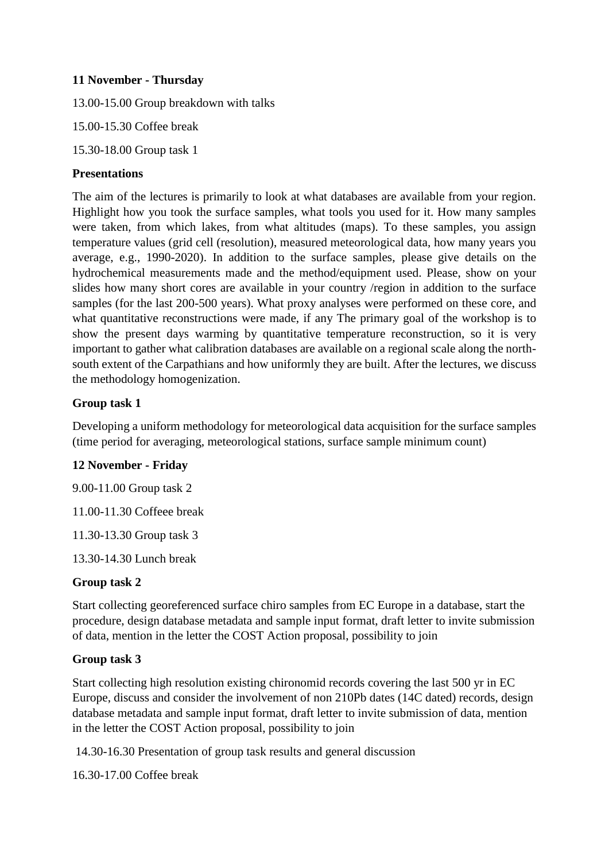# **11 November - Thursday**

13.00-15.00 Group breakdown with talks

15.00-15.30 Coffee break

15.30-18.00 Group task 1

## **Presentations**

The aim of the lectures is primarily to look at what databases are available from your region. Highlight how you took the surface samples, what tools you used for it. How many samples were taken, from which lakes, from what altitudes (maps). To these samples, you assign temperature values (grid cell (resolution), measured meteorological data, how many years you average, e.g., 1990-2020). In addition to the surface samples, please give details on the hydrochemical measurements made and the method/equipment used. Please, show on your slides how many short cores are available in your country /region in addition to the surface samples (for the last 200-500 years). What proxy analyses were performed on these core, and what quantitative reconstructions were made, if any The primary goal of the workshop is to show the present days warming by quantitative temperature reconstruction, so it is very important to gather what calibration databases are available on a regional scale along the northsouth extent of the Carpathians and how uniformly they are built. After the lectures, we discuss the methodology homogenization.

# **Group task 1**

Developing a uniform methodology for meteorological data acquisition for the surface samples (time period for averaging, meteorological stations, surface sample minimum count)

# **12 November - Friday**

9.00-11.00 Group task 2

11.00-11.30 Coffeee break

11.30-13.30 Group task 3

13.30-14.30 Lunch break

# **Group task 2**

Start collecting georeferenced surface chiro samples from EC Europe in a database, start the procedure, design database metadata and sample input format, draft letter to invite submission of data, mention in the letter the COST Action proposal, possibility to join

# **Group task 3**

Start collecting high resolution existing chironomid records covering the last 500 yr in EC Europe, discuss and consider the involvement of non 210Pb dates (14C dated) records, design database metadata and sample input format, draft letter to invite submission of data, mention in the letter the COST Action proposal, possibility to join

14.30-16.30 Presentation of group task results and general discussion

16.30-17.00 Coffee break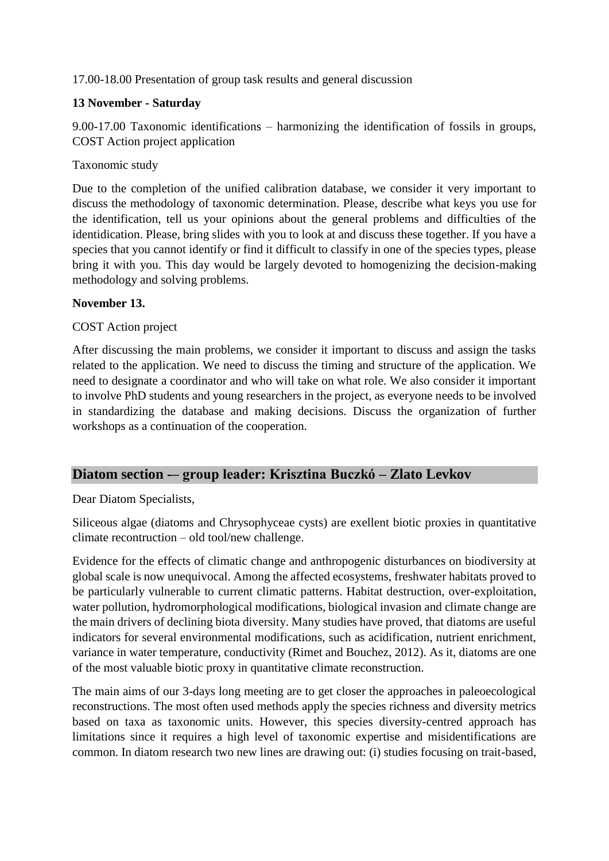# 17.00-18.00 Presentation of group task results and general discussion

# **13 November - Saturday**

9.00-17.00 Taxonomic identifications – harmonizing the identification of fossils in groups, COST Action project application

# Taxonomic study

Due to the completion of the unified calibration database, we consider it very important to discuss the methodology of taxonomic determination. Please, describe what keys you use for the identification, tell us your opinions about the general problems and difficulties of the identidication. Please, bring slides with you to look at and discuss these together. If you have a species that you cannot identify or find it difficult to classify in one of the species types, please bring it with you. This day would be largely devoted to homogenizing the decision-making methodology and solving problems.

#### **November 13.**

# COST Action project

After discussing the main problems, we consider it important to discuss and assign the tasks related to the application. We need to discuss the timing and structure of the application. We need to designate a coordinator and who will take on what role. We also consider it important to involve PhD students and young researchers in the project, as everyone needs to be involved in standardizing the database and making decisions. Discuss the organization of further workshops as a continuation of the cooperation.

# **Diatom section -– group leader: Krisztina Buczkó – Zlato Levkov**

Dear Diatom Specialists,

Siliceous algae (diatoms and Chrysophyceae cysts) are exellent biotic proxies in quantitative climate recontruction – old tool/new challenge.

Evidence for the effects of climatic change and anthropogenic disturbances on biodiversity at global scale is now unequivocal. Among the affected ecosystems, freshwater habitats proved to be particularly vulnerable to current climatic patterns. Habitat destruction, over-exploitation, water pollution, hydromorphological modifications, biological invasion and climate change are the main drivers of declining biota diversity. Many studies have proved, that diatoms are useful indicators for several environmental modifications, such as acidification, nutrient enrichment, variance in water temperature, conductivity (Rimet and Bouchez, 2012). As it, diatoms are one of the most valuable biotic proxy in quantitative climate reconstruction.

The main aims of our 3-days long meeting are to get closer the approaches in paleoecological reconstructions. The most often used methods apply the species richness and diversity metrics based on taxa as taxonomic units. However, this species diversity-centred approach has limitations since it requires a high level of taxonomic expertise and misidentifications are common. In diatom research two new lines are drawing out: (i) studies focusing on trait-based,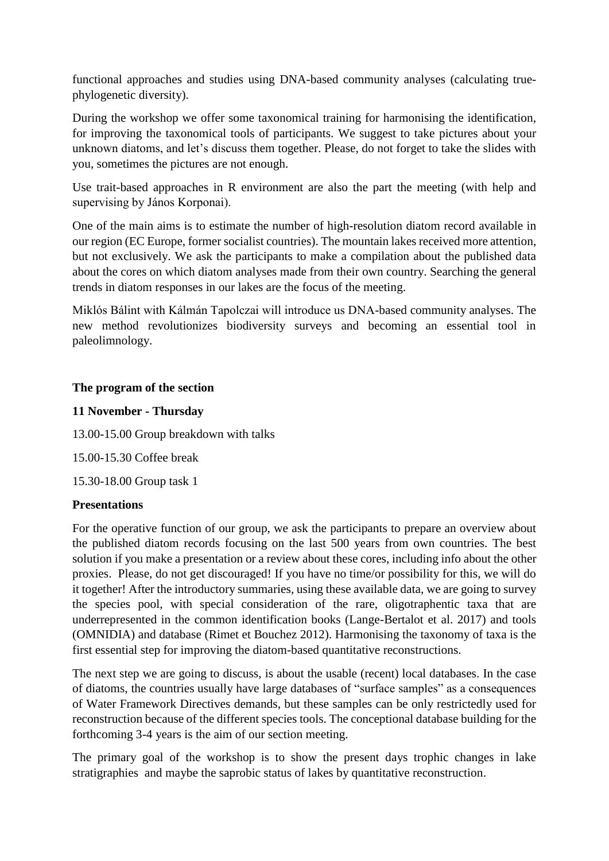functional approaches and studies using DNA-based community analyses (calculating truephylogenetic diversity).

During the workshop we offer some taxonomical training for harmonising the identification, for improving the taxonomical tools of participants. We suggest to take pictures about your unknown diatoms, and let's discuss them together. Please, do not forget to take the slides with you, sometimes the pictures are not enough.

Use trait-based approaches in R environment are also the part the meeting (with help and supervising by János Korponai).

One of the main aims is to estimate the number of high-resolution diatom record available in our region (EC Europe, former socialist countries). The mountain lakes received more attention, but not exclusively. We ask the participants to make a compilation about the published data about the cores on which diatom analyses made from their own country. Searching the general trends in diatom responses in our lakes are the focus of the meeting.

Miklós Bálint with Kálmán Tapolczai will introduce us DNA-based community analyses. The new method revolutionizes biodiversity surveys and becoming an essential tool in paleolimnology.

# **The program of the section**

#### **11 November - Thursday**

13.00-15.00 Group breakdown with talks

15.00-15.30 Coffee break

15.30-18.00 Group task 1

#### **Presentations**

For the operative function of our group, we ask the participants to prepare an overview about the published diatom records focusing on the last 500 years from own countries. The best solution if you make a presentation or a review about these cores, including info about the other proxies. Please, do not get discouraged! If you have no time/or possibility for this, we will do it together! After the introductory summaries, using these available data, we are going to survey the species pool, with special consideration of the rare, oligotraphentic taxa that are underrepresented in the common identification books (Lange-Bertalot et al. 2017) and tools (OMNIDIA) and database (Rimet et Bouchez 2012). Harmonising the taxonomy of taxa is the first essential step for improving the diatom-based quantitative reconstructions.

The next step we are going to discuss, is about the usable (recent) local databases. In the case of diatoms, the countries usually have large databases of "surface samples" as a consequences of Water Framework Directives demands, but these samples can be only restrictedly used for reconstruction because of the different species tools. The conceptional database building for the forthcoming 3-4 years is the aim of our section meeting.

The primary goal of the workshop is to show the present days trophic changes in lake stratigraphies and maybe the saprobic status of lakes by quantitative reconstruction.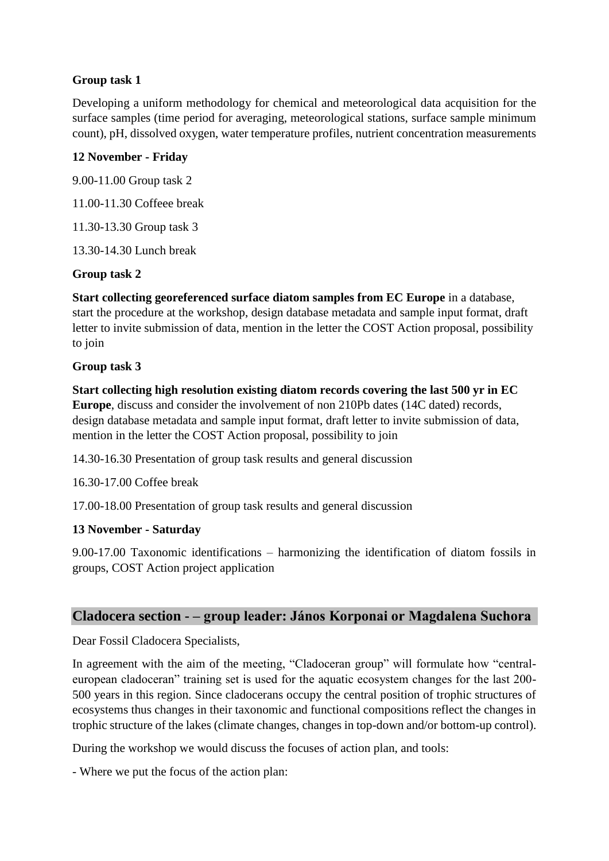# **Group task 1**

Developing a uniform methodology for chemical and meteorological data acquisition for the surface samples (time period for averaging, meteorological stations, surface sample minimum count), pH, dissolved oxygen, water temperature profiles, nutrient concentration measurements

# **12 November - Friday**

9.00-11.00 Group task 2

11.00-11.30 Coffeee break

11.30-13.30 Group task 3

13.30-14.30 Lunch break

# **Group task 2**

**Start collecting georeferenced surface diatom samples from EC Europe** in a database, start the procedure at the workshop, design database metadata and sample input format, draft letter to invite submission of data, mention in the letter the COST Action proposal, possibility to join

# **Group task 3**

**Start collecting high resolution existing diatom records covering the last 500 yr in EC Europe**, discuss and consider the involvement of non 210Pb dates (14C dated) records, design database metadata and sample input format, draft letter to invite submission of data, mention in the letter the COST Action proposal, possibility to join

14.30-16.30 Presentation of group task results and general discussion

16.30-17.00 Coffee break

17.00-18.00 Presentation of group task results and general discussion

# **13 November - Saturday**

9.00-17.00 Taxonomic identifications – harmonizing the identification of diatom fossils in groups, COST Action project application

# **Cladocera section - – group leader: János Korponai or Magdalena Suchora**

Dear Fossil Cladocera Specialists,

In agreement with the aim of the meeting, "Cladoceran group" will formulate how "centraleuropean cladoceran" training set is used for the aquatic ecosystem changes for the last 200- 500 years in this region. Since cladocerans occupy the central position of trophic structures of ecosystems thus changes in their taxonomic and functional compositions reflect the changes in trophic structure of the lakes (climate changes, changes in top-down and/or bottom-up control).

During the workshop we would discuss the focuses of action plan, and tools:

- Where we put the focus of the action plan: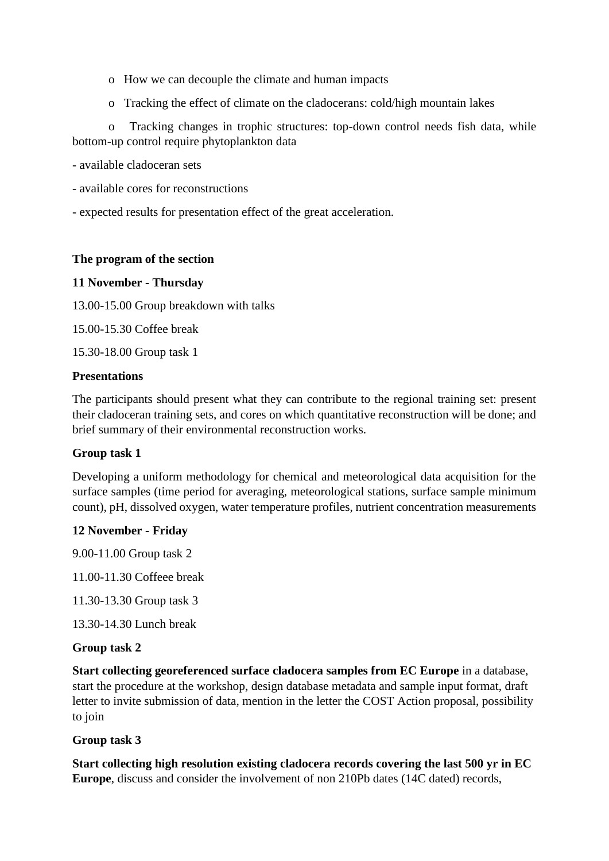- o How we can decouple the climate and human impacts
- o Tracking the effect of climate on the cladocerans: cold/high mountain lakes

o Tracking changes in trophic structures: top-down control needs fish data, while bottom-up control require phytoplankton data

- available cladoceran sets

- available cores for reconstructions
- expected results for presentation effect of the great acceleration.

#### **The program of the section**

#### **11 November - Thursday**

13.00-15.00 Group breakdown with talks

15.00-15.30 Coffee break

15.30-18.00 Group task 1

#### **Presentations**

The participants should present what they can contribute to the regional training set: present their cladoceran training sets, and cores on which quantitative reconstruction will be done; and brief summary of their environmental reconstruction works.

# **Group task 1**

Developing a uniform methodology for chemical and meteorological data acquisition for the surface samples (time period for averaging, meteorological stations, surface sample minimum count), pH, dissolved oxygen, water temperature profiles, nutrient concentration measurements

# **12 November - Friday**

9.00-11.00 Group task 2 11.00-11.30 Coffeee break

11.30-13.30 Group task 3

13.30-14.30 Lunch break

#### **Group task 2**

**Start collecting georeferenced surface cladocera samples from EC Europe** in a database, start the procedure at the workshop, design database metadata and sample input format, draft letter to invite submission of data, mention in the letter the COST Action proposal, possibility to join

# **Group task 3**

**Start collecting high resolution existing cladocera records covering the last 500 yr in EC Europe**, discuss and consider the involvement of non 210Pb dates (14C dated) records,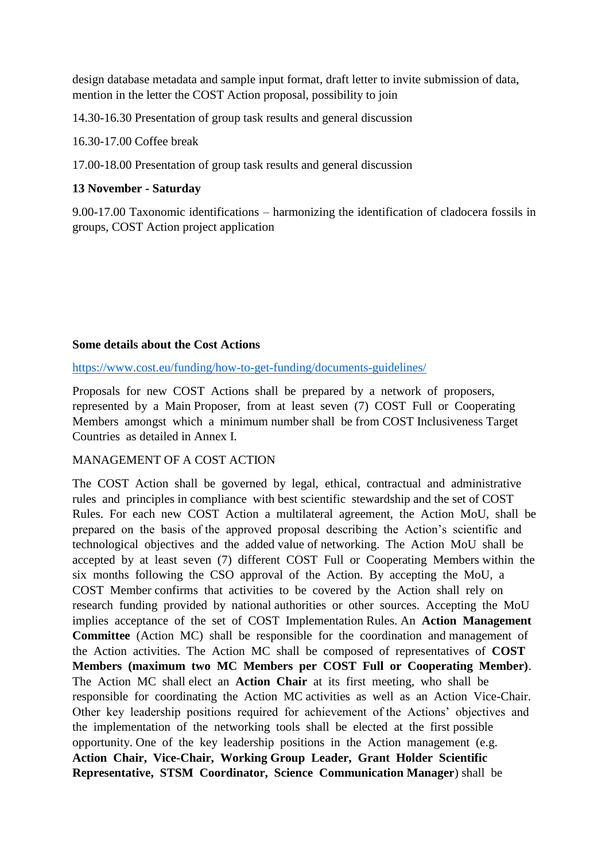design database metadata and sample input format, draft letter to invite submission of data, mention in the letter the COST Action proposal, possibility to join

14.30-16.30 Presentation of group task results and general discussion

16.30-17.00 Coffee break

17.00-18.00 Presentation of group task results and general discussion

#### **13 November - Saturday**

9.00-17.00 Taxonomic identifications – harmonizing the identification of cladocera fossils in groups, COST Action project application

#### **Some details about the Cost Actions**

<https://www.cost.eu/funding/how-to-get-funding/documents-guidelines/>

Proposals for new COST Actions shall be prepared by a network of proposers, represented by a Main Proposer, from at least seven (7) COST Full or Cooperating Members amongst which a minimum number shall be from COST Inclusiveness Target Countries as detailed in Annex I.

# MANAGEMENT OF A COST ACTION

The COST Action shall be governed by legal, ethical, contractual and administrative rules and principles in compliance with best scientific stewardship and the set of COST Rules. For each new COST Action a multilateral agreement, the Action MoU, shall be prepared on the basis of the approved proposal describing the Action's scientific and technological objectives and the added value of networking. The Action MoU shall be accepted by at least seven (7) different COST Full or Cooperating Members within the six months following the CSO approval of the Action. By accepting the MoU, a COST Member confirms that activities to be covered by the Action shall rely on research funding provided by national authorities or other sources. Accepting the MoU implies acceptance of the set of COST Implementation Rules. An **Action Management Committee** (Action MC) shall be responsible for the coordination and management of the Action activities. The Action MC shall be composed of representatives of **COST Members (maximum two MC Members per COST Full or Cooperating Member)**. The Action MC shall elect an **Action Chair** at its first meeting, who shall be responsible for coordinating the Action MC activities as well as an Action Vice-Chair. Other key leadership positions required for achievement of the Actions' objectives and the implementation of the networking tools shall be elected at the first possible opportunity. One of the key leadership positions in the Action management (e.g. **Action Chair, Vice-Chair, Working Group Leader, Grant Holder Scientific Representative, STSM Coordinator, Science Communication Manager**) shall be